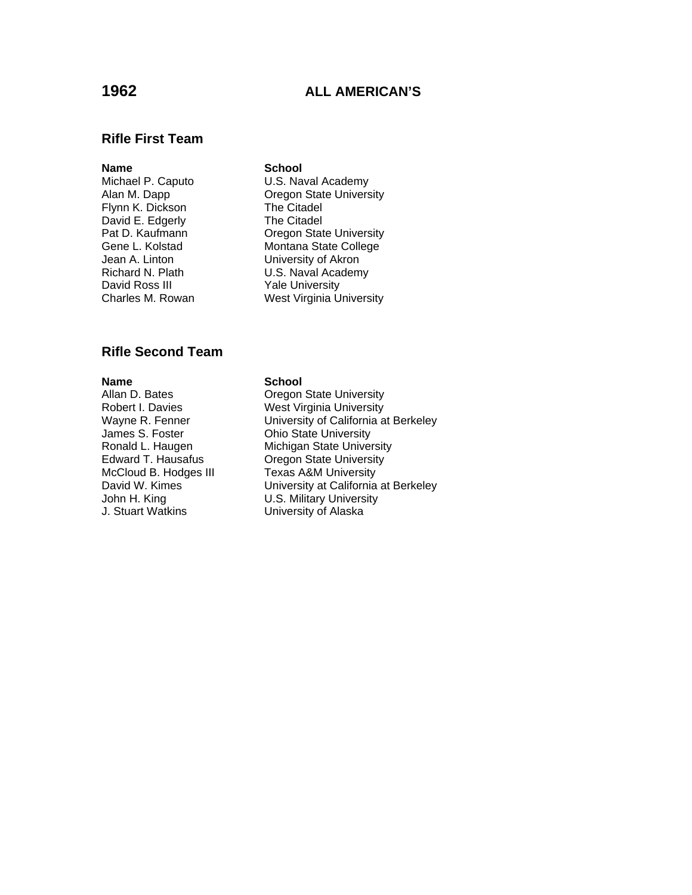# **1962 ALL AMERICAN'S**

## **Rifle First Team**

### **Name** School

Flynn K. Dickson David E. Edgerly **The Citadel**<br> **Pat D. Kaufmann** Cregon Stat David Ross III Yale University

Michael P. Caputo U.S. Naval Academy Alan M. Dapp **Calcul Communist Communist Communist** Cregon State University<br>
Flynn K. Dickson **Calcul Cregon The Citadel** Pat D. Kaufmann **Cause Communist Communist Center Contracts** Gene L. Kolstad Contracts Montana State College Montana State College Jean A. Linton University of Akron Richard N. Plath U.S. Naval Academy Charles M. Rowan West Virginia University

## **Rifle Second Team**

**Name School**<br> **Allan D. Bates Changes School** James S. Foster **Chio State University** McCloud B. Hodges III

**Oregon State University** Robert I. Davies West Virginia University Wayne R. Fenner University of California at Berkeley Ronald L. Haugen Michigan State University<br>Edward T. Hausafus Cregon State University Oregon State University<br>Texas A&M University David W. Kimes University at California at Berkeley John H. King **Canada Communist Communist U.S. Military University**<br>
J. Stuart Watkins **Communist Communist Communist Communist Communist Communist Communist Communist Communist Co** University of Alaska